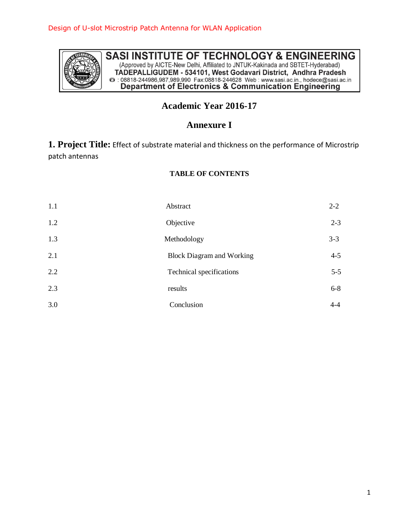

SASI INSTITUTE OF TECHNOLOGY & ENGINEERING (Approved by AICTE-New Delhi, Affiliated to JNTUK-Kakinada and SBTET-Hyderabad) TADEPALLIGUDEM - 534101, West Godavari District, Andhra Pradesh<br>
@ : 08818-244986,987,989,990 Fax:08818-244628 Web : www.sasi.ac.in., hodece@sasi.ac.in<br>
Department of Electronics & Communication Engineering

# **Academic Year 2016-17**

## **Annexure I**

**1. Project Title:** Effect of substrate material and thickness on the performance of Microstrip patch antennas

### **TABLE OF CONTENTS**

| 1.1 | Abstract                         | $2 - 2$ |
|-----|----------------------------------|---------|
| 1.2 | Objective                        | $2 - 3$ |
| 1.3 | Methodology                      | $3 - 3$ |
| 2.1 | <b>Block Diagram and Working</b> | $4 - 5$ |
| 2.2 | Technical specifications         | $5 - 5$ |
| 2.3 | results                          | $6 - 8$ |
| 3.0 | Conclusion                       | $4 - 4$ |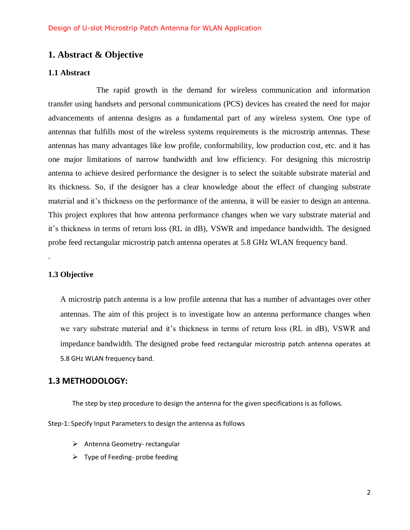## **1. Abstract & Objective**

#### **1.1 Abstract**

The rapid growth in the demand for wireless communication and information transfer using handsets and personal communications (PCS) devices has created the need for major advancements of antenna designs as a fundamental part of any wireless system. One type of antennas that fulfills most of the wireless systems requirements is the microstrip antennas. These antennas has many advantages like low profile, conformability, low production cost, etc. and it has one major limitations of narrow bandwidth and low efficiency. For designing this microstrip antenna to achieve desired performance the designer is to select the suitable substrate material and its thickness. So, if the designer has a clear knowledge about the effect of changing substrate material and it's thickness on the performance of the antenna, it will be easier to design an antenna. This project explores that how antenna performance changes when we vary substrate material and it's thickness in terms of return loss (RL in dB), VSWR and impedance bandwidth. The designed probe feed rectangular microstrip patch antenna operates at 5.8 GHz WLAN frequency band.

### **1.3 Objective**

.

A microstrip patch antenna is a low profile antenna that has a number of advantages over other antennas. The aim of this project is to investigate how an antenna performance changes when we vary substrate material and it's thickness in terms of return loss (RL in dB), VSWR and impedance bandwidth. The designed probe feed rectangular microstrip patch antenna operates at 5.8 GHz WLAN frequency band.

### **1.3 METHODOLOGY:**

The step by step procedure to design the antenna for the given specifications is as follows.

Step-1: Specify Input Parameters to design the antenna as follows

- $\triangleright$  Antenna Geometry- rectangular
- $\triangleright$  Type of Feeding- probe feeding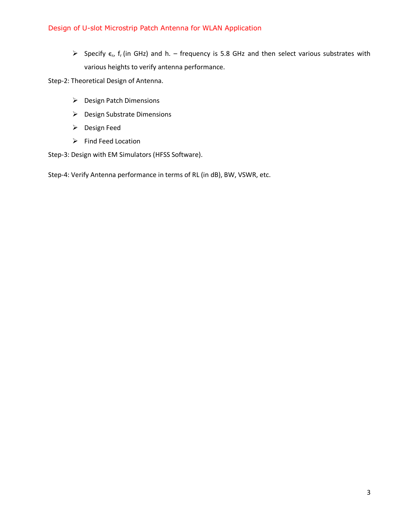$\triangleright$  Specify  $\epsilon_r$ , f<sub>r</sub> (in GHz) and h. – frequency is 5.8 GHz and then select various substrates with various heights to verify antenna performance.

Step-2: Theoretical Design of Antenna.

- ▶ Design Patch Dimensions
- ▶ Design Substrate Dimensions
- ▶ Design Feed
- $\triangleright$  Find Feed Location

Step-3: Design with EM Simulators (HFSS Software).

Step-4: Verify Antenna performance in terms of RL (in dB), BW, VSWR, etc.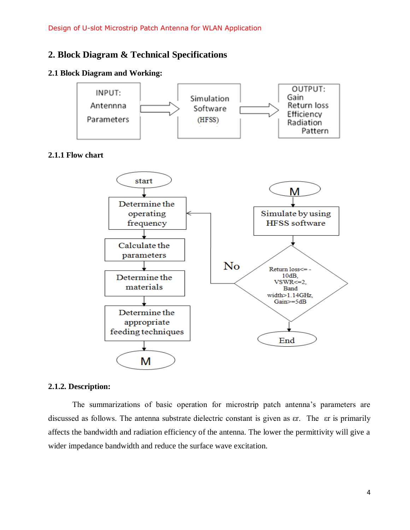## **2. Block Diagram & Technical Specifications**

### **2.1 Block Diagram and Working:**



### **2.1.1 Flow chart**



#### **2.1.2. Description:**

The summarizations of basic operation for microstrip patch antenna's parameters are discussed as follows. The antenna substrate dielectric constant is given as  $er$ . The  $er$  is primarily affects the bandwidth and radiation efficiency of the antenna. The lower the permittivity will give a wider impedance bandwidth and reduce the surface wave excitation.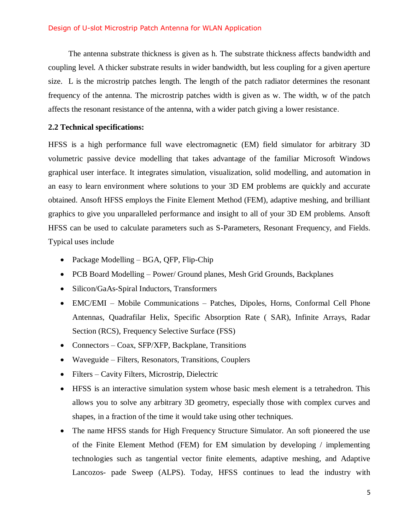#### Design of U-slot Microstrip Patch Antenna for WLAN Application

 The antenna substrate thickness is given as h. The substrate thickness affects bandwidth and coupling level. A thicker substrate results in wider bandwidth, but less coupling for a given aperture size. L is the microstrip patches length. The length of the patch radiator determines the resonant frequency of the antenna. The microstrip patches width is given as w. The width, w of the patch affects the resonant resistance of the antenna, with a wider patch giving a lower resistance.

#### **2.2 Technical specifications:**

HFSS is a high performance full wave electromagnetic (EM) field simulator for arbitrary 3D volumetric passive device modelling that takes advantage of the familiar Microsoft Windows graphical user interface. It integrates simulation, visualization, solid modelling, and automation in an easy to learn environment where solutions to your 3D EM problems are quickly and accurate obtained. Ansoft HFSS employs the Finite Element Method (FEM), adaptive meshing, and brilliant graphics to give you unparalleled performance and insight to all of your 3D EM problems. Ansoft HFSS can be used to calculate parameters such as S-Parameters, Resonant Frequency, and Fields. Typical uses include

- Package Modelling BGA, QFP, Flip-Chip
- PCB Board Modelling Power/ Ground planes, Mesh Grid Grounds, Backplanes
- Silicon/GaAs-Spiral Inductors, Transformers
- EMC/EMI Mobile Communications Patches, Dipoles, Horns, Conformal Cell Phone Antennas, Quadrafilar Helix, Specific Absorption Rate ( SAR), Infinite Arrays, Radar Section (RCS), Frequency Selective Surface (FSS)
- Connectors Coax, SFP/XFP, Backplane, Transitions
- Waveguide Filters, Resonators, Transitions, Couplers
- Filters Cavity Filters, Microstrip, Dielectric
- HFSS is an interactive simulation system whose basic mesh element is a tetrahedron. This allows you to solve any arbitrary 3D geometry, especially those with complex curves and shapes, in a fraction of the time it would take using other techniques.
- The name HFSS stands for High Frequency Structure Simulator. An soft pioneered the use of the Finite Element Method (FEM) for EM simulation by developing / implementing technologies such as tangential vector finite elements, adaptive meshing, and Adaptive Lancozos- pade Sweep (ALPS). Today, HFSS continues to lead the industry with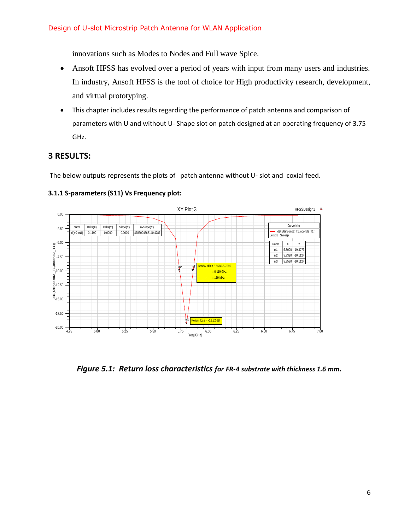innovations such as Modes to Nodes and Full wave Spice.

- Ansoft HFSS has evolved over a period of years with input from many users and industries. In industry, Ansoft HFSS is the tool of choice for High productivity research, development, and virtual prototyping.
- This chapter includes results regarding the performance of patch antenna and comparison of parameters with U and without U- Shape slot on patch designed at an operating frequency of 3.75 GHz.

## **3 RESULTS:**

The below outputs represents the plots of patch antenna without U- slot and coxial feed.



### **3.1.1 S-parameters (S11) Vs Frequency plot:**

*Figure 5.1: Return loss characteristics for FR-4 substrate with thickness 1.6 mm.*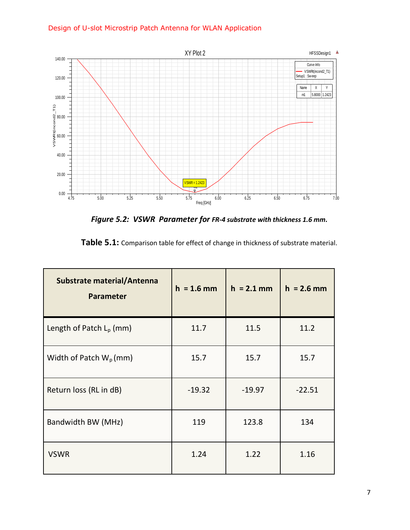## Design of U-slot Microstrip Patch Antenna for WLAN Application



*Figure 5.2: VSWR Parameter for FR-4 substrate with thickness 1.6 mm.*

| <b>Substrate material/Antenna</b><br><b>Parameter</b> | $h = 1.6$ mm | $h = 2.1$ mm | $h = 2.6$ mm |
|-------------------------------------------------------|--------------|--------------|--------------|
| Length of Patch L <sub>p</sub> (mm)                   | 11.7         | 11.5         | 11.2         |
| Width of Patch $W_p$ (mm)                             | 15.7         | 15.7         | 15.7         |
| Return loss (RL in dB)                                | $-19.32$     | $-19.97$     | $-22.51$     |
| Bandwidth BW (MHz)                                    | 119          | 123.8        | 134          |
| <b>VSWR</b>                                           | 1.24         | 1.22         | 1.16         |

| Table 5.1: Comparison table for effect of change in thickness of substrate material. |  |
|--------------------------------------------------------------------------------------|--|
|--------------------------------------------------------------------------------------|--|